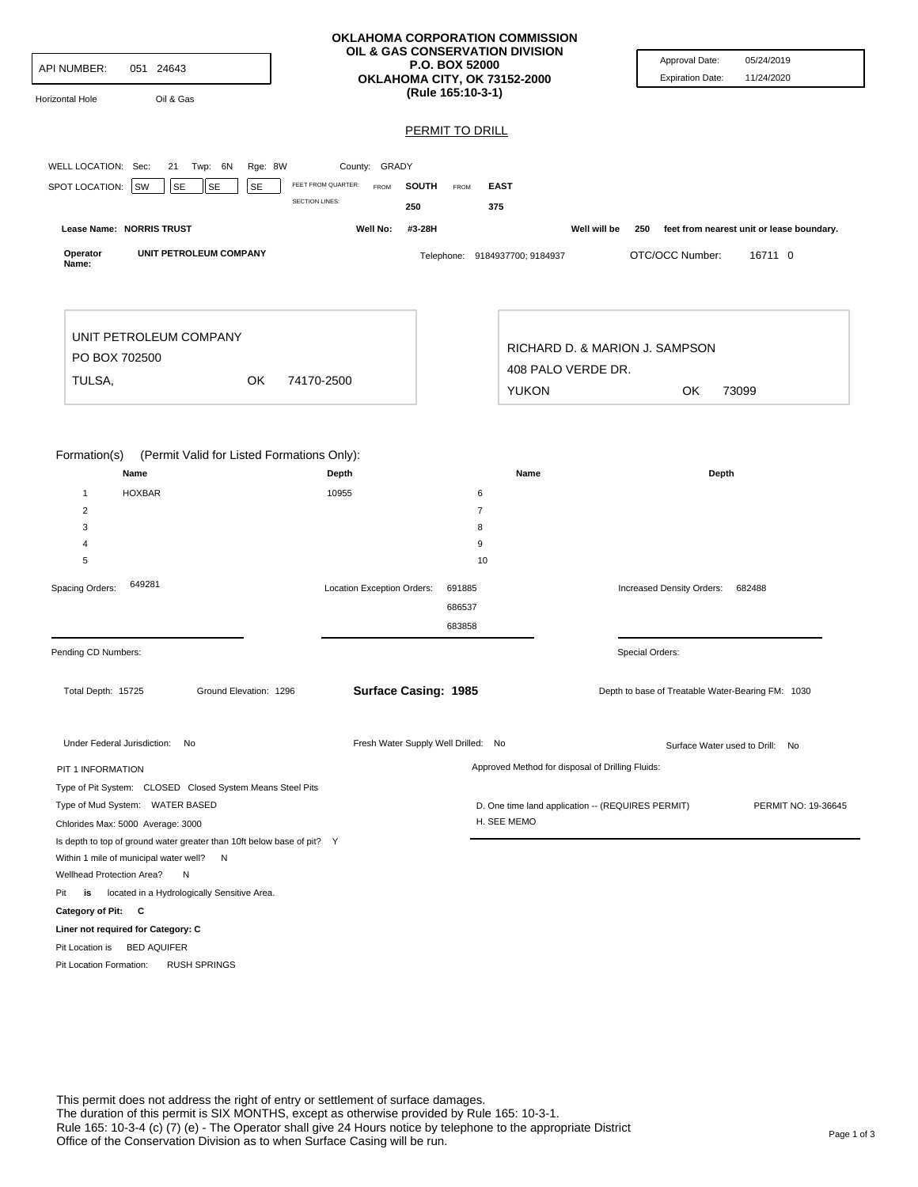| API NUMBER:<br>051 24643<br>Oil & Gas<br>Horizontal Hole                                                                                                                                                                                                                                                                                                      | OKLAHOMA CORPORATION COMMISSION<br>OIL & GAS CONSERVATION DIVISION<br>OKLAHOMA CITY, OK 73152-2000 | <b>P.O. BOX 52000</b><br>(Rule 165:10-3-1)<br>PERMIT TO DRILL |                                                                                                       | Approval Date:<br><b>Expiration Date:</b>         | 05/24/2019<br>11/24/2020                               |
|---------------------------------------------------------------------------------------------------------------------------------------------------------------------------------------------------------------------------------------------------------------------------------------------------------------------------------------------------------------|----------------------------------------------------------------------------------------------------|---------------------------------------------------------------|-------------------------------------------------------------------------------------------------------|---------------------------------------------------|--------------------------------------------------------|
| WELL LOCATION: Sec:<br>21 Twp: 6N<br>Rge: 8W<br>SE<br>SE<br>SPOT LOCATION:<br>SW<br><b>SE</b>                                                                                                                                                                                                                                                                 | County: GRADY<br>FEET FROM QUARTER:<br><b>FROM</b><br><b>SOUTH</b><br><b>SECTION LINES:</b><br>250 | FROM<br><b>EAST</b><br>375                                    |                                                                                                       |                                                   |                                                        |
| Lease Name: NORRIS TRUST<br>Operator<br>UNIT PETROLEUM COMPANY<br>Name:                                                                                                                                                                                                                                                                                       | Well No:<br>#3-28H                                                                                 | Telephone: 9184937700; 9184937                                | Well will be                                                                                          | 250<br>OTC/OCC Number:                            | feet from nearest unit or lease boundary.<br>16711 0   |
| UNIT PETROLEUM COMPANY<br>PO BOX 702500<br>TULSA,<br>OK                                                                                                                                                                                                                                                                                                       | 74170-2500                                                                                         |                                                               | 408 PALO VERDE DR.<br><b>YUKON</b>                                                                    | RICHARD D. & MARION J. SAMPSON<br>OK              | 73099                                                  |
| Formation(s)<br>(Permit Valid for Listed Formations Only):<br>Name<br><b>HOXBAR</b><br>$\mathbf{1}$<br>2                                                                                                                                                                                                                                                      | Depth<br>10955                                                                                     | 6<br>$\overline{7}$                                           | Name                                                                                                  | Depth                                             |                                                        |
| 3<br>$\overline{4}$<br>5<br>649281<br>Spacing Orders:                                                                                                                                                                                                                                                                                                         | Location Exception Orders:                                                                         | 8<br>9<br>10<br>691885<br>686537                              |                                                                                                       | Increased Density Orders:                         | 682488                                                 |
| Pending CD Numbers:                                                                                                                                                                                                                                                                                                                                           |                                                                                                    | 683858                                                        |                                                                                                       | Special Orders:                                   |                                                        |
| Ground Elevation: 1296<br>Total Depth: 15725                                                                                                                                                                                                                                                                                                                  | Surface Casing: 1985                                                                               |                                                               |                                                                                                       | Depth to base of Treatable Water-Bearing FM: 1030 |                                                        |
| Under Federal Jurisdiction: No<br>PIT 1 INFORMATION<br>Type of Pit System: CLOSED Closed System Means Steel Pits<br>Type of Mud System: WATER BASED<br>Chlorides Max: 5000 Average: 3000                                                                                                                                                                      | Fresh Water Supply Well Drilled: No                                                                | H. SEE MEMO                                                   | Approved Method for disposal of Drilling Fluids:<br>D. One time land application -- (REQUIRES PERMIT) |                                                   | Surface Water used to Drill: No<br>PERMIT NO: 19-36645 |
| Is depth to top of ground water greater than 10ft below base of pit? Y<br>Within 1 mile of municipal water well? N<br>Wellhead Protection Area?<br>N<br>located in a Hydrologically Sensitive Area.<br>Pit<br>is<br>Category of Pit: C<br>Liner not required for Category: C<br>Pit Location is BED AQUIFER<br>Pit Location Formation:<br><b>RUSH SPRINGS</b> |                                                                                                    |                                                               |                                                                                                       |                                                   |                                                        |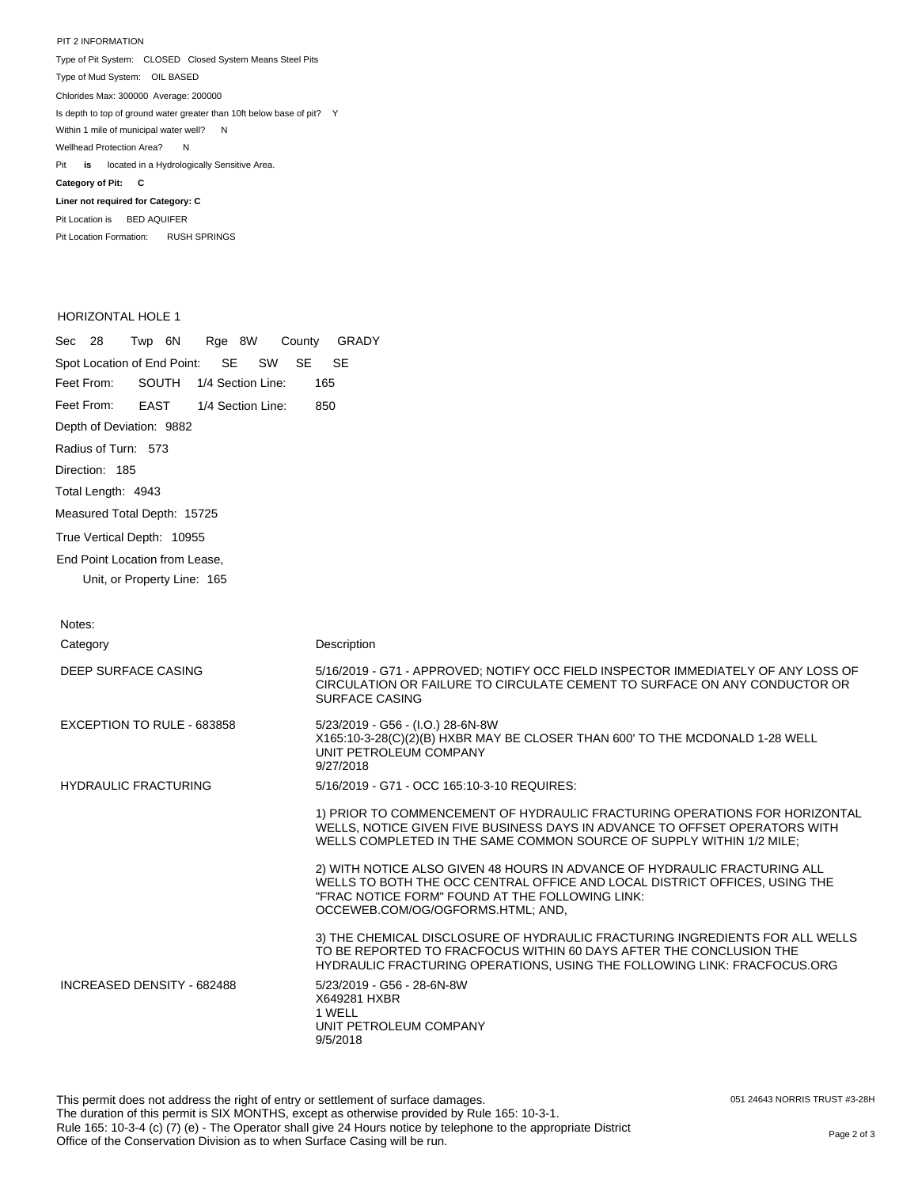PIT 2 INFORMATION Type of Pit System: CLOSED Closed System Means Steel Pits Type of Mud System: OIL BASED Pit **is** located in a Hydrologically Sensitive Area. **Category of Pit: C Liner not required for Category: C** Chlorides Max: 300000 Average: 200000 Is depth to top of ground water greater than 10ft below base of pit? Y Within 1 mile of municipal water well? N Wellhead Protection Area? N

Pit Location is BED AQUIFER Pit Location Formation: RUSH SPRINGS

## HORIZONTAL HOLE 1

Sec 28 Twp 6N Rge 8W County GRADY Spot Location of End Point: SE SW SE SE Feet From: Feet From: Depth of Deviation: 9882 Radius of Turn: 573 Direction: 185 Total Length: 4943 Measured Total Depth: 15725 True Vertical Depth: 10955 End Point Location from Lease, Unit, or Property Line: 165 SOUTH 1/4 Section Line: 165 EAST 1/4 Section Line: 850

| Notes:                      |                                                                                                                                                                                                                                                 |
|-----------------------------|-------------------------------------------------------------------------------------------------------------------------------------------------------------------------------------------------------------------------------------------------|
| Category                    | Description                                                                                                                                                                                                                                     |
| DEEP SURFACE CASING         | 5/16/2019 - G71 - APPROVED; NOTIFY OCC FIELD INSPECTOR IMMEDIATELY OF ANY LOSS OF<br>CIRCULATION OR FAILURE TO CIRCULATE CEMENT TO SURFACE ON ANY CONDUCTOR OR<br><b>SURFACE CASING</b>                                                         |
| EXCEPTION TO RULE - 683858  | 5/23/2019 - G56 - (I.O.) 28-6N-8W<br>X165:10-3-28(C)(2)(B) HXBR MAY BE CLOSER THAN 600' TO THE MCDONALD 1-28 WELL<br>UNIT PETROLEUM COMPANY<br>9/27/2018                                                                                        |
| <b>HYDRAULIC FRACTURING</b> | 5/16/2019 - G71 - OCC 165:10-3-10 REQUIRES:                                                                                                                                                                                                     |
|                             | 1) PRIOR TO COMMENCEMENT OF HYDRAULIC FRACTURING OPERATIONS FOR HORIZONTAL<br>WELLS, NOTICE GIVEN FIVE BUSINESS DAYS IN ADVANCE TO OFFSET OPERATORS WITH<br>WELLS COMPLETED IN THE SAME COMMON SOURCE OF SUPPLY WITHIN 1/2 MILE:                |
|                             | 2) WITH NOTICE ALSO GIVEN 48 HOURS IN ADVANCE OF HYDRAULIC FRACTURING ALL<br>WELLS TO BOTH THE OCC CENTRAL OFFICE AND LOCAL DISTRICT OFFICES, USING THE<br>"FRAC NOTICE FORM" FOUND AT THE FOLLOWING LINK:<br>OCCEWEB.COM/OG/OGFORMS.HTML; AND, |
|                             | 3) THE CHEMICAL DISCLOSURE OF HYDRAULIC FRACTURING INGREDIENTS FOR ALL WELLS<br>TO BE REPORTED TO FRACFOCUS WITHIN 60 DAYS AFTER THE CONCLUSION THE<br>HYDRAULIC FRACTURING OPERATIONS, USING THE FOLLOWING LINK: FRACFOCUS.ORG                 |
| INCREASED DENSITY - 682488  | 5/23/2019 - G56 - 28-6N-8W<br>X649281 HXBR<br>1 WELL<br>UNIT PETROLEUM COMPANY<br>9/5/2018                                                                                                                                                      |

051 24643 NORRIS TRUST #3-28H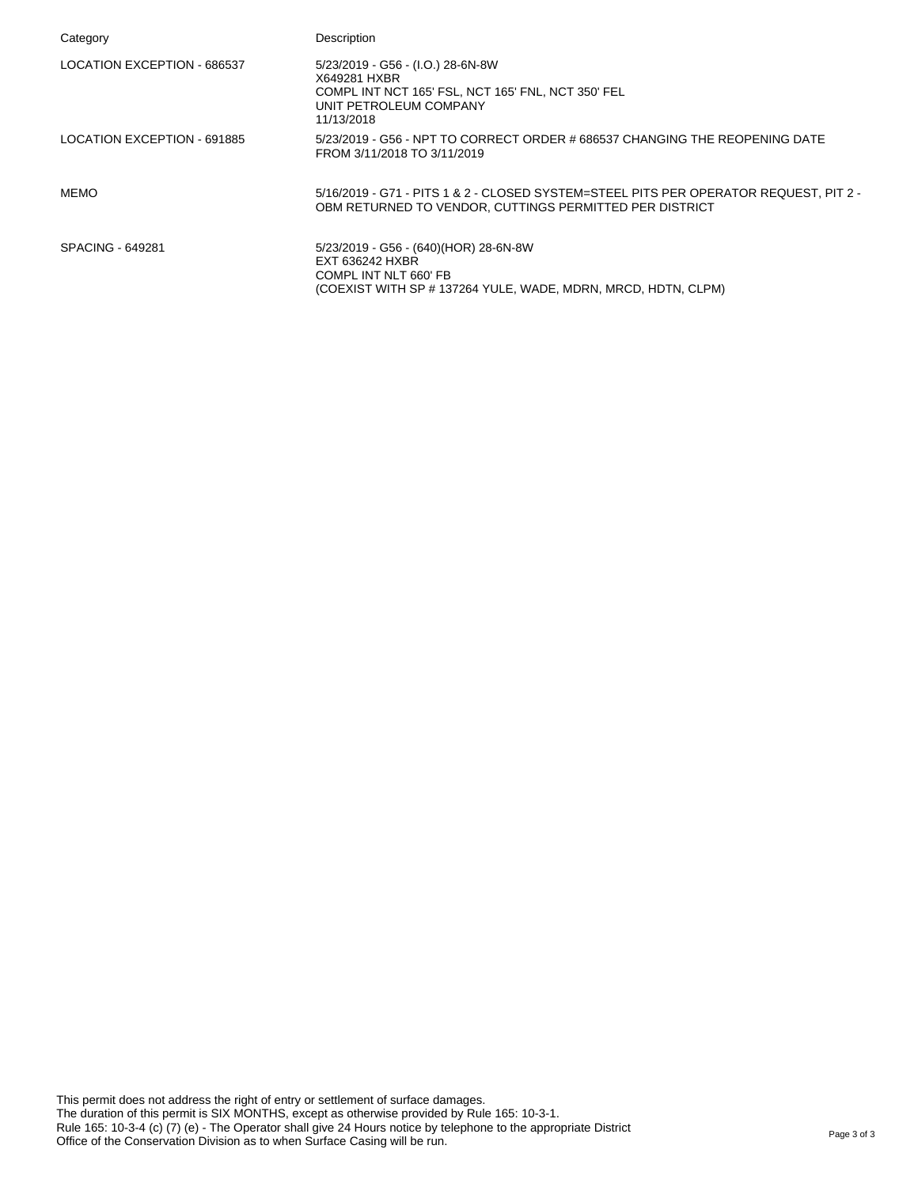| Category                    | Description                                                                                                                                        |
|-----------------------------|----------------------------------------------------------------------------------------------------------------------------------------------------|
| LOCATION EXCEPTION - 686537 | 5/23/2019 - G56 - (I.O.) 28-6N-8W<br>X649281 HXBR<br>COMPL INT NCT 165' FSL, NCT 165' FNL, NCT 350' FEL<br>UNIT PETROLEUM COMPANY<br>11/13/2018    |
| LOCATION EXCEPTION - 691885 | 5/23/2019 - G56 - NPT TO CORRECT ORDER # 686537 CHANGING THE REOPENING DATE<br>FROM 3/11/2018 TO 3/11/2019                                         |
| <b>MEMO</b>                 | 5/16/2019 - G71 - PITS 1 & 2 - CLOSED SYSTEM=STEEL PITS PER OPERATOR REQUEST, PIT 2 -<br>OBM RETURNED TO VENDOR, CUTTINGS PERMITTED PER DISTRICT   |
| SPACING - 649281            | 5/23/2019 - G56 - (640)(HOR) 28-6N-8W<br>EXT 636242 HXBR<br>COMPL INT NLT 660' FB<br>(COEXIST WITH SP # 137264 YULE, WADE, MDRN, MRCD, HDTN, CLPM) |